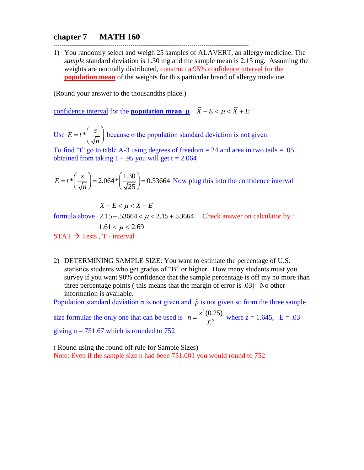## **chapter 7 MATH 160**

1) You randomly select and weigh 25 samples of ALAVERT, an allergy medicine. The *sample* standard deviation is 1.30 mg and the sample mean is 2.15 mg. Assuming the weights are normally distributed, construct a 95% confidence interval for the **population mean** of the weights for this particular brand of allergy medicine.

(Round your answer to the thousandths place.)

confidence interval for the **population mean**  $\mu$   $\overline{X} - E < \mu < \overline{X} + E$ 

---------------------------------------------------------------------------------------------------

Use  $E = t \sqrt[*]{\frac{s}{t}}$ *n* =  $t^*$   $\left(\frac{s}{\sqrt{n}}\right)$  because  $\sigma$  the population standard deviation is not given.

To find "t" go to table A-3 using degrees of freedom  $= 24$  and area in two tails  $= .05$ obtained from taking  $1 - .95$  you will get  $t = 2.064$ 

$$
E = t^* \left(\frac{s}{\sqrt{n}}\right) = 2.064 * \left(\frac{1.30}{\sqrt{25}}\right) = 0.53664
$$
 Now plug this into the confidence interval

$$
\overline{X} - E < \mu < \overline{X} + E
$$

 $\Delta - E < \mu < \lambda + E$ <br>formula above 2.15 - .53664 <  $\mu$  < 2.15 + .53664 Check answer on calculator by :  $2.15 - .33004 <$ <br> $1.61 < \mu < 2.69$  $STAT \rightarrow Tests$ , T - interval

2) DETERMINING SAMPLE SIZE: You want to estimate the percentage of U.S. statistics students who get grades of "B" or higher. How many students must you survey if you want 90% confidence that the sample percentage is off my no more than three percentage points ( this means that the margin of error is .03) No other information is available.

Population standard deviation  $\sigma$  is not given and  $\hat{p}$  is not given so from the three sample

size formulas the only one that can be used is 2 2  $n = \frac{z^2(0.25)}{z^2}$ *E*  $=\frac{2(0.25)}{2}$  where  $z = 1.645$ ,  $E = .03$ 

giving  $n = 751.67$  which is rounded to 752

( Round using the round off rule for Sample Sizes) Note: Even if the sample size n had been 751.001 you would round to 752